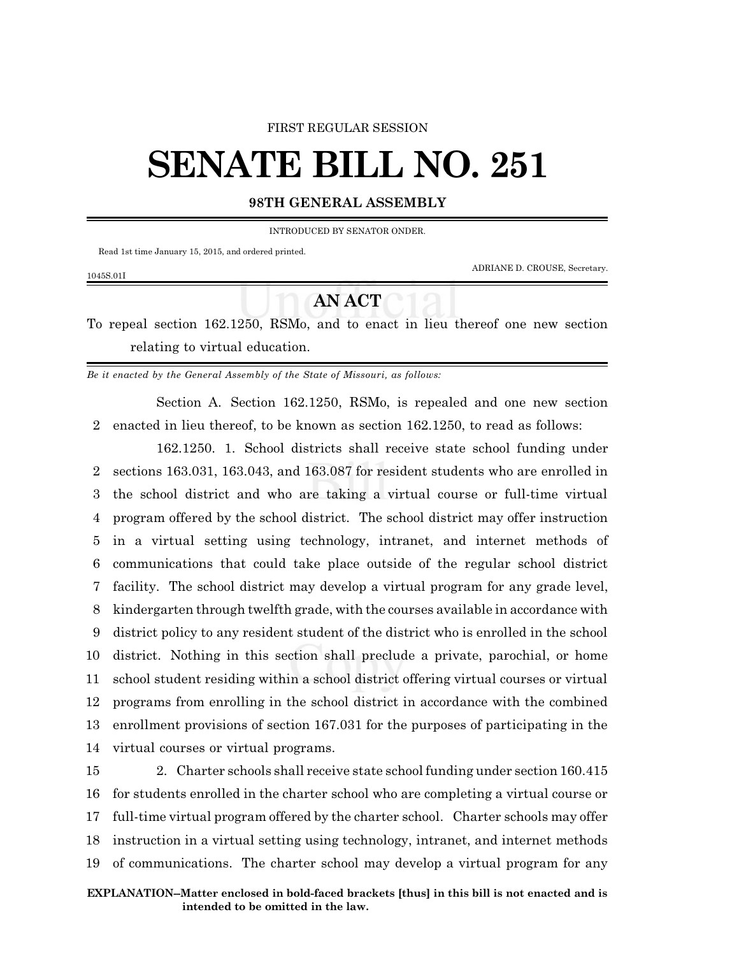## FIRST REGULAR SESSION

## **SENATE BILL NO. 251**

## **98TH GENERAL ASSEMBLY**

INTRODUCED BY SENATOR ONDER.

Read 1st time January 15, 2015, and ordered printed.

1045S.01I

ADRIANE D. CROUSE, Secretary.

## **AN ACT**

To repeal section 162.1250, RSMo, and to enact in lieu thereof one new section relating to virtual education.

*Be it enacted by the General Assembly of the State of Missouri, as follows:*

Section A. Section 162.1250, RSMo, is repealed and one new section 2 enacted in lieu thereof, to be known as section 162.1250, to read as follows:

162.1250. 1. School districts shall receive state school funding under sections 163.031, 163.043, and 163.087 for resident students who are enrolled in the school district and who are taking a virtual course or full-time virtual program offered by the school district. The school district may offer instruction in a virtual setting using technology, intranet, and internet methods of communications that could take place outside of the regular school district facility. The school district may develop a virtual program for any grade level, kindergarten through twelfth grade, with the courses available in accordance with district policy to any resident student of the district who is enrolled in the school district. Nothing in this section shall preclude a private, parochial, or home school student residing within a school district offering virtual courses or virtual programs from enrolling in the school district in accordance with the combined enrollment provisions of section 167.031 for the purposes of participating in the virtual courses or virtual programs.

 2. Charter schools shall receive state school funding under section 160.415 for students enrolled in the charter school who are completing a virtual course or full-time virtual program offered by the charter school. Charter schools may offer instruction in a virtual setting using technology, intranet, and internet methods of communications. The charter school may develop a virtual program for any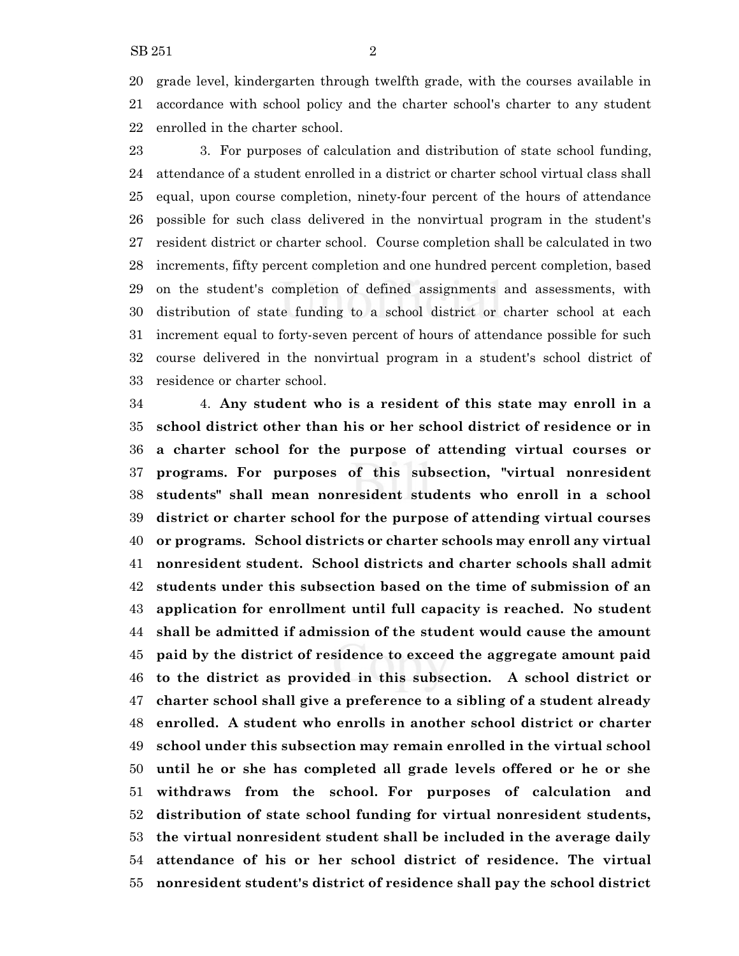enrolled in the charter school.

 3. For purposes of calculation and distribution of state school funding, attendance of a student enrolled in a district or charter school virtual class shall equal, upon course completion, ninety-four percent of the hours of attendance possible for such class delivered in the nonvirtual program in the student's resident district or charter school. Course completion shall be calculated in two increments, fifty percent completion and one hundred percent completion, based on the student's completion of defined assignments and assessments, with distribution of state funding to a school district or charter school at each increment equal to forty-seven percent of hours of attendance possible for such course delivered in the nonvirtual program in a student's school district of residence or charter school.

 4. **Any student who is a resident of this state may enroll in a school district other than his or her school district of residence or in a charter school for the purpose of attending virtual courses or programs. For purposes of this subsection, "virtual nonresident students" shall mean nonresident students who enroll in a school district or charter school for the purpose of attending virtual courses or programs. School districts or charter schools may enroll any virtual nonresident student. School districts and charter schools shall admit students under this subsection based on the time of submission of an application for enrollment until full capacity is reached. No student shall be admitted if admission of the student would cause the amount paid by the district of residence to exceed the aggregate amount paid to the district as provided in this subsection. A school district or charter school shall give a preference to a sibling of a student already enrolled. A student who enrolls in another school district or charter school under this subsection may remain enrolled in the virtual school until he or she has completed all grade levels offered or he or she withdraws from the school. For purposes of calculation and distribution of state school funding for virtual nonresident students, the virtual nonresident student shall be included in the average daily attendance of his or her school district of residence. The virtual nonresident student's district of residence shall pay the school district**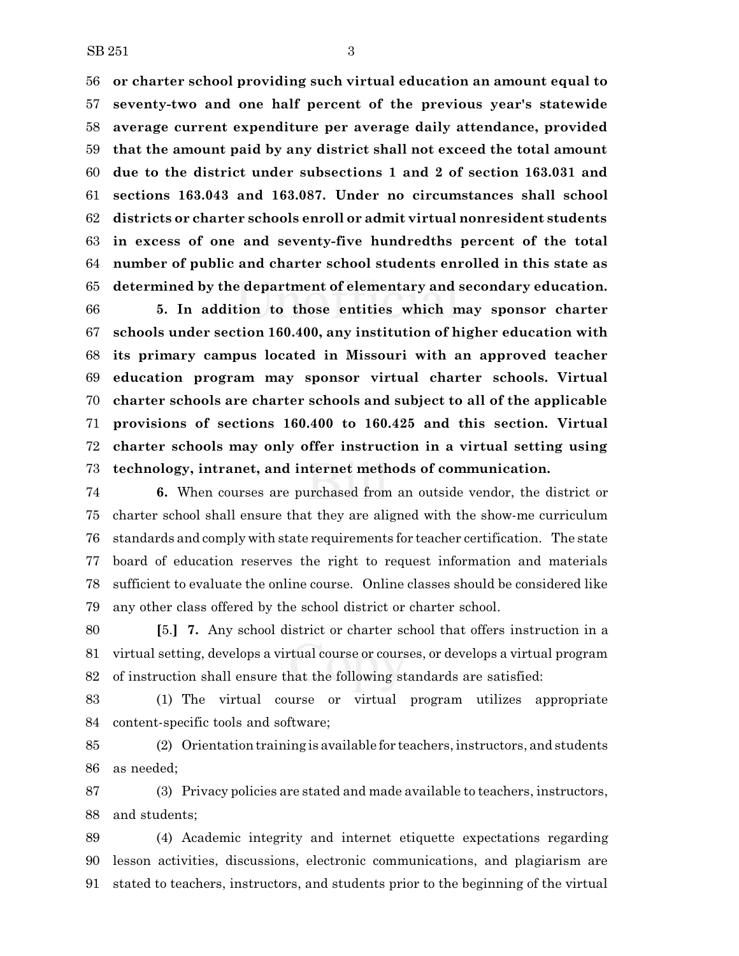**or charter school providing such virtual education an amount equal to seventy-two and one half percent of the previous year's statewide average current expenditure per average daily attendance, provided that the amount paid by any district shall not exceed the total amount due to the district under subsections 1 and 2 of section 163.031 and sections 163.043 and 163.087. Under no circumstances shall school districts or charter schools enroll or admit virtual nonresident students in excess of one and seventy-five hundredths percent of the total number of public and charter school students enrolled in this state as determined by the department of elementary and secondary education.**

 **5. In addition to those entities which may sponsor charter schools under section 160.400, any institution of higher education with its primary campus located in Missouri with an approved teacher education program may sponsor virtual charter schools. Virtual charter schools are charter schools and subject to all of the applicable provisions of sections 160.400 to 160.425 and this section. Virtual charter schools may only offer instruction in a virtual setting using technology, intranet, and internet methods of communication.**

 **6.** When courses are purchased from an outside vendor, the district or charter school shall ensure that they are aligned with the show-me curriculum standards and comply with state requirements for teacher certification. The state board of education reserves the right to request information and materials sufficient to evaluate the online course. Online classes should be considered like any other class offered by the school district or charter school.

 **[**5.**] 7.** Any school district or charter school that offers instruction in a virtual setting, develops a virtual course or courses, or develops a virtual program of instruction shall ensure that the following standards are satisfied:

 (1) The virtual course or virtual program utilizes appropriate content-specific tools and software;

 (2) Orientation training is available for teachers, instructors, and students as needed;

 (3) Privacy policies are stated and made available to teachers, instructors, and students;

 (4) Academic integrity and internet etiquette expectations regarding lesson activities, discussions, electronic communications, and plagiarism are stated to teachers, instructors, and students prior to the beginning of the virtual